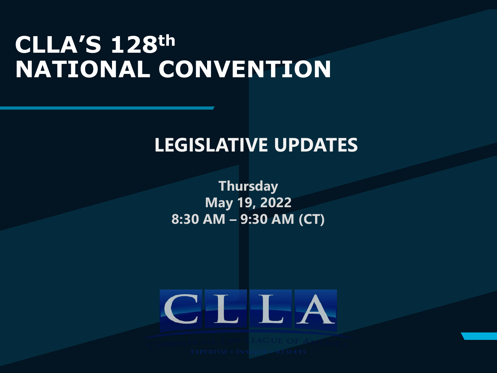## **CLLA'S 128th NATIONAL CONVENTION**

### **LEGISLATIVE UPDATES**

**Thursday May 19, 2022 8:30 AM – 9:30 AM (CT)**

# CLLA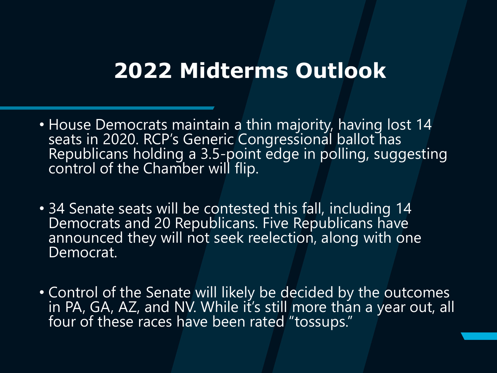## **2022 Midterms Outlook**

- House Democrats maintain a thin majority, having lost 14 seats in 2020. RCP's Generic Congressional ballot has Republicans holding a 3.5-point edge in polling, suggesting<br>control of the Chamber will flip.
- 34 Senate seats will be contested this fall, including 14 Democrats and 20 Republicans. Five Republicans have announced they will not seek reelection, along with one Democrat.
- Control of the Senate will likely be decided by the outcomes in PA, GA, AZ, and NV. While it's still more than a year out, all four of these races have been rated "tossups."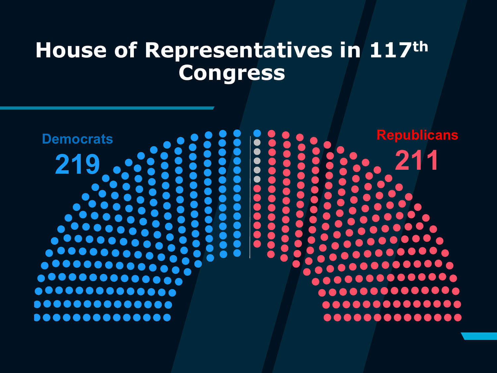## **House of Representatives in 117th Congress**

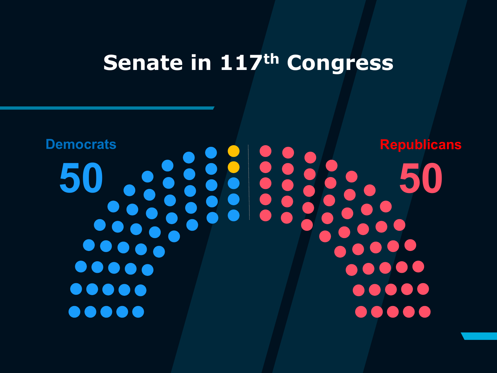## **Senate in 117th Congress**

## **Republicans Democrats 50**  $\bullet$ **50CONTRACTOR**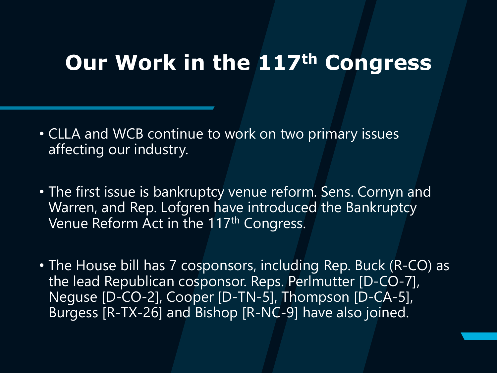## **Our Work in the 117th Congress**

- CLLA and WCB continue to work on two primary issues affecting our industry.
- The first issue is bankruptcy venue reform. Sens. Cornyn and Warren, and Rep. Lofgren have introduced the Bankruptcy Venue Reform Act in the 117th Congress.
- The House bill has 7 cosponsors, including Rep. Buck (R-CO) as the lead Republican cosponsor. Reps. Perlmutter [D-CO-7], Neguse [D-CO-2], Cooper [D-TN-5], Thompson [D-CA-5], Burgess [R-TX-26] and Bishop [R-NC-9] have also joined.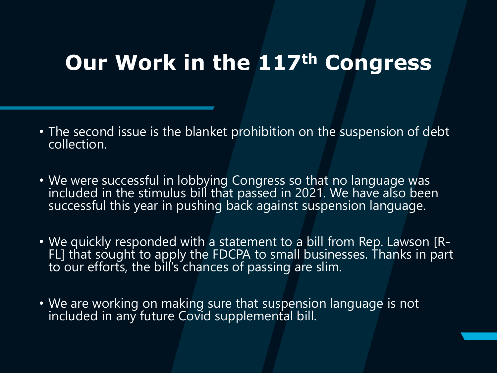## **Our Work in the 117th Congress**

- The second issue is the blanket prohibition on the suspension of debt collection.
- We were successful in lobbying Congress so that no language was included in the stimulus bill that passed in 2021. We have also been successful this year in pushing back against suspension language.
- We quickly responded with a statement to a bill from Rep. Lawson [R- FL] that sought to apply the FDCPA to small businesses. Thanks in part to our efforts, the bill's chances of passing are slim.
- We are working on making sure that suspension language is not included in any future Covid supplemental bill.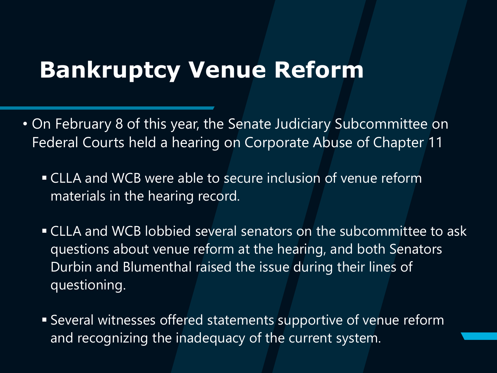## **Bankruptcy Venue Reform**

- On February 8 of this year, the Senate Judiciary Subcommittee on Federal Courts held a hearing on Corporate Abuse of Chapter 11
	- CLLA and WCB were able to secure inclusion of venue reform materials in the hearing record.
	- CLLA and WCB lobbied several senators on the subcommittee to ask questions about venue reform at the hearing, and both Senators Durbin and Blumenthal raised the issue during their lines of questioning.
	- Several witnesses offered statements supportive of venue reform and recognizing the inadequacy of the current system.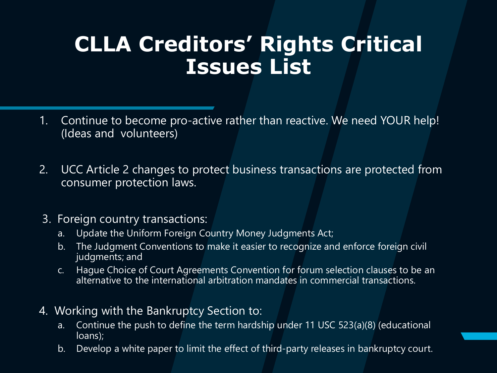## **CLLA Creditors' Rights Critical Issues List**

- 1. Continue to become pro-active rather than reactive. We need YOUR help! (Ideas and volunteers)
- 2. UCC Article 2 changes to protect business transactions are protected from consumer protection laws.
- 3. Foreign country transactions:
	- a. Update the Uniform Foreign Country Money Judgments Act;
	- b. The Judgment Conventions to make it easier to recognize and enforce foreign civil judgments; and
	- c. Hague Choice of Court Agreements Convention for forum selection clauses to be an alternative to the international arbitration mandates in commercial transactions.
- 4. Working with the Bankruptcy Section to:
	- a. Continue the push to define the term hardship under 11 USC 523(a)(8) (educational loans);
	- b. Develop a white paper to limit the effect of third-party releases in bankruptcy court.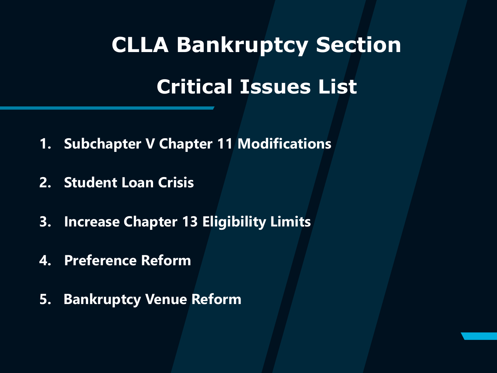## **CLLA Bankruptcy Section Critical Issues List**

- **1. Subchapter V Chapter 11 Modifications**
- **2. Student Loan Crisis**
- **3. Increase Chapter 13 Eligibility Limits**
- **4. Preference Reform**
- **5. Bankruptcy Venue Reform**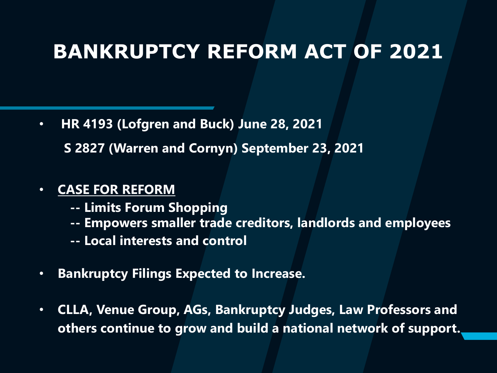## **BANKRUPTCY REFORM ACT OF 2021**

• **HR 4193 (Lofgren and Buck) June 28, 2021 S 2827 (Warren and Cornyn) September 23, 2021**

### • **CASE FOR REFORM**

- **-- Limits Forum Shopping**
- **-- Empowers smaller trade creditors, landlords and employees**
- **-- Local interests and control**
- **Bankruptcy Filings Expected to Increase.**
- **CLLA, Venue Group, AGs, Bankruptcy Judges, Law Professors and others continue to grow and build a national network of support.**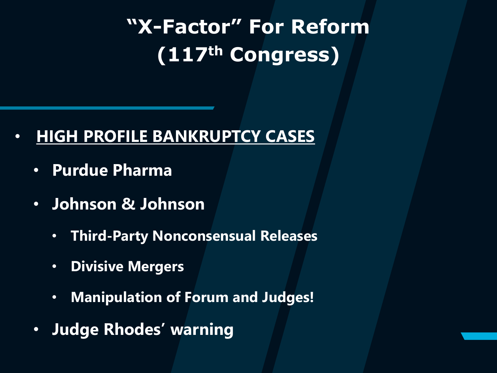## **"X-Factor" For Reform (117th Congress)**

- **HIGH PROFILE BANKRUPTCY CASES**
	- **Purdue Pharma**
	- **Johnson & Johnson** 
		- **Third-Party Nonconsensual Releases**
		- **Divisive Mergers**
		- **Manipulation of Forum and Judges!**
	- **Judge Rhodes' warning**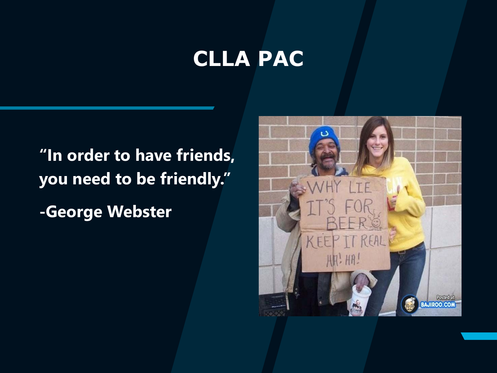## **CLLA PAC**

**"In order to have friends, you need to be friendly."**

**-George Webster**